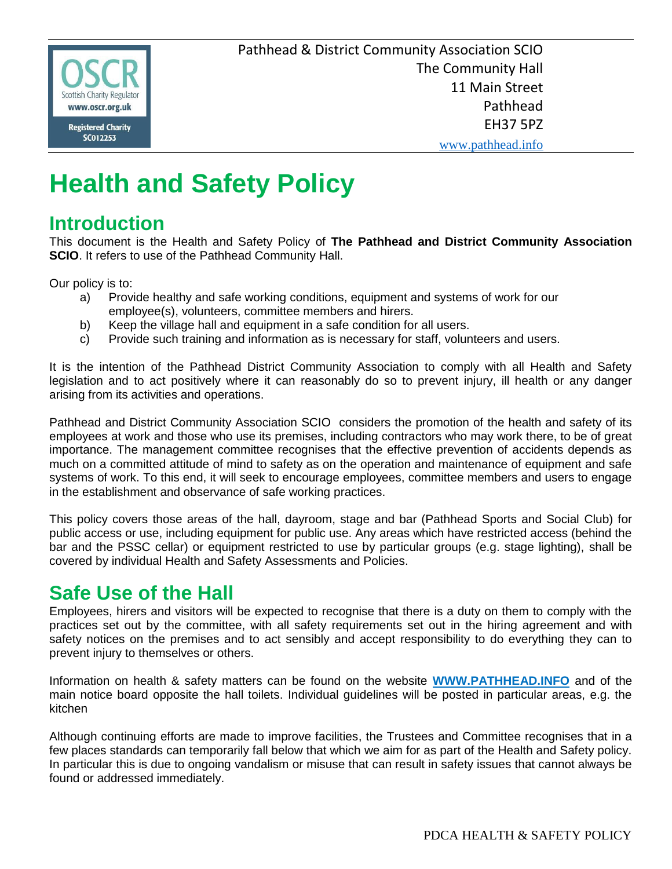

Pathhead & District Community Association SCIO The Community Hall 11 Main Street Pathhead EH37 5PZ

www.pathhead.info

# **Health and Safety Policy**

### **Introduction**

This document is the Health and Safety Policy of **The Pathhead and District Community Association SCIO**. It refers to use of the Pathhead Community Hall.

Our policy is to:

- a) Provide healthy and safe working conditions, equipment and systems of work for our employee(s), volunteers, committee members and hirers.
- b) Keep the village hall and equipment in a safe condition for all users.
- c) Provide such training and information as is necessary for staff, volunteers and users.

It is the intention of the Pathhead District Community Association to comply with all Health and Safety legislation and to act positively where it can reasonably do so to prevent injury, ill health or any danger arising from its activities and operations.

Pathhead and District Community Association SCIO considers the promotion of the health and safety of its employees at work and those who use its premises, including contractors who may work there, to be of great importance. The management committee recognises that the effective prevention of accidents depends as much on a committed attitude of mind to safety as on the operation and maintenance of equipment and safe systems of work. To this end, it will seek to encourage employees, committee members and users to engage in the establishment and observance of safe working practices.

This policy covers those areas of the hall, dayroom, stage and bar (Pathhead Sports and Social Club) for public access or use, including equipment for public use. Any areas which have restricted access (behind the bar and the PSSC cellar) or equipment restricted to use by particular groups (e.g. stage lighting), shall be covered by individual Health and Safety Assessments and Policies.

## **Safe Use of the Hall**

Employees, hirers and visitors will be expected to recognise that there is a duty on them to comply with the practices set out by the committee, with all safety requirements set out in the hiring agreement and with safety notices on the premises and to act sensibly and accept responsibility to do everything they can to prevent injury to themselves or others.

Information on health & safety matters can be found on the website **WWW.PATHHEAD.INFO** and of the main notice board opposite the hall toilets. Individual guidelines will be posted in particular areas, e.g. the kitchen

Although continuing efforts are made to improve facilities, the Trustees and Committee recognises that in a few places standards can temporarily fall below that which we aim for as part of the Health and Safety policy. In particular this is due to ongoing vandalism or misuse that can result in safety issues that cannot always be found or addressed immediately.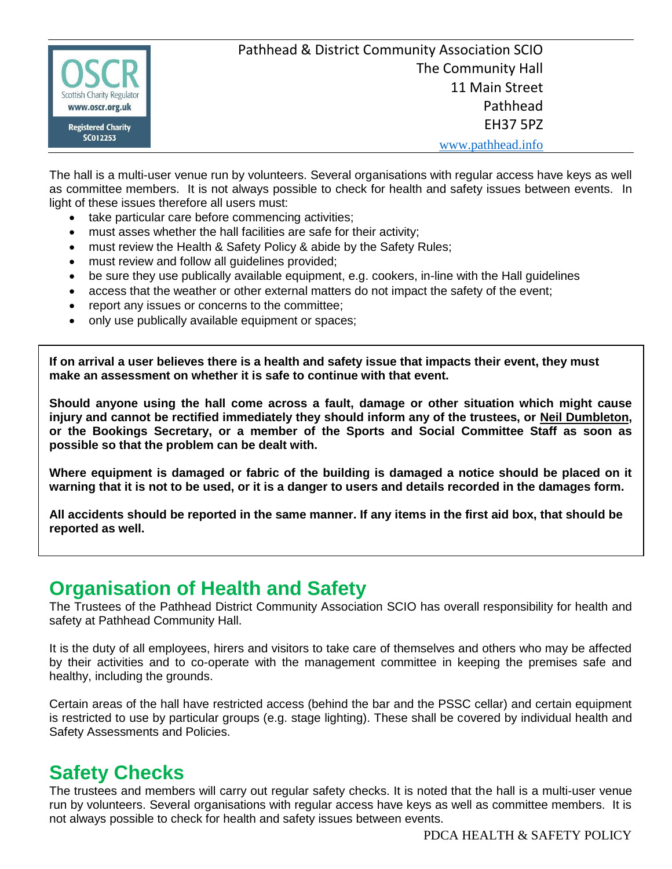

The hall is a multi-user venue run by volunteers. Several organisations with regular access have keys as well as committee members. It is not always possible to check for health and safety issues between events. In light of these issues therefore all users must:

- take particular care before commencing activities;
- must asses whether the hall facilities are safe for their activity;
- must review the Health & Safety Policy & abide by the Safety Rules;
- must review and follow all guidelines provided;
- be sure they use publically available equipment, e.g. cookers, in-line with the Hall guidelines
- access that the weather or other external matters do not impact the safety of the event;
- report any issues or concerns to the committee;
- only use publically available equipment or spaces;

**If on arrival a user believes there is a health and safety issue that impacts their event, they must make an assessment on whether it is safe to continue with that event.**

**Should anyone using the hall come across a fault, damage or other situation which might cause injury and cannot be rectified immediately they should inform any of the trustees, or Neil Dumbleton, or the Bookings Secretary, or a member of the Sports and Social Committee Staff as soon as possible so that the problem can be dealt with.** 

**Where equipment is damaged or fabric of the building is damaged a notice should be placed on it warning that it is not to be used, or it is a danger to users and details recorded in the damages form.**

**All accidents should be reported in the same manner. If any items in the first aid box, that should be reported as well.**

#### **Organisation of Health and Safety**

The Trustees of the Pathhead District Community Association SCIO has overall responsibility for health and safety at Pathhead Community Hall.

It is the duty of all employees, hirers and visitors to take care of themselves and others who may be affected by their activities and to co-operate with the management committee in keeping the premises safe and healthy, including the grounds.

Certain areas of the hall have restricted access (behind the bar and the PSSC cellar) and certain equipment is restricted to use by particular groups (e.g. stage lighting). These shall be covered by individual health and Safety Assessments and Policies.

### **Safety Checks**

The trustees and members will carry out regular safety checks. It is noted that the hall is a multi-user venue run by volunteers. Several organisations with regular access have keys as well as committee members. It is not always possible to check for health and safety issues between events.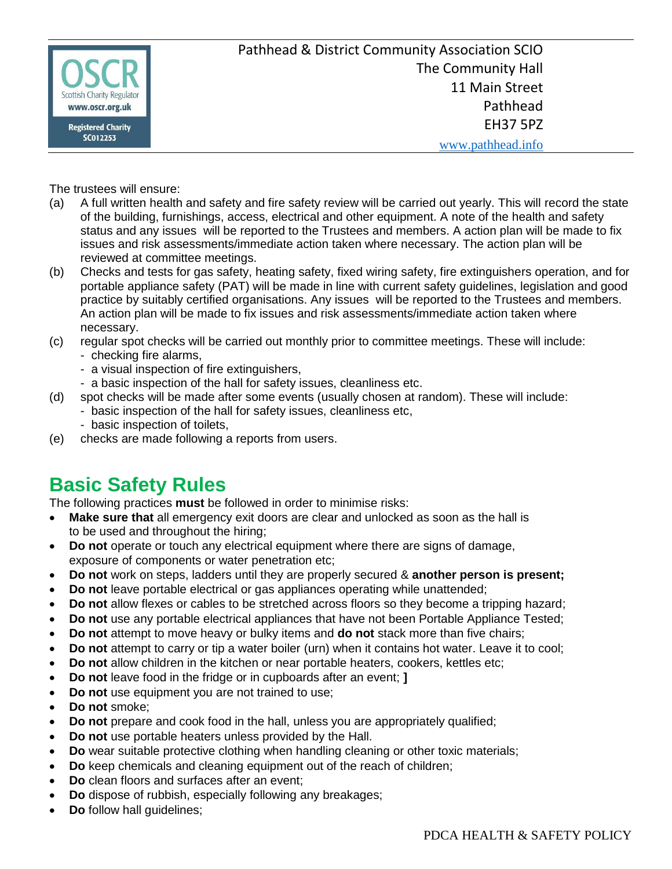

The trustees will ensure:

- (a) A full written health and safety and fire safety review will be carried out yearly. This will record the state of the building, furnishings, access, electrical and other equipment. A note of the health and safety status and any issues will be reported to the Trustees and members. A action plan will be made to fix issues and risk assessments/immediate action taken where necessary. The action plan will be reviewed at committee meetings.
- (b) Checks and tests for gas safety, heating safety, fixed wiring safety, fire extinguishers operation, and for portable appliance safety (PAT) will be made in line with current safety guidelines, legislation and good practice by suitably certified organisations. Any issues will be reported to the Trustees and members. An action plan will be made to fix issues and risk assessments/immediate action taken where necessary.
- (c) regular spot checks will be carried out monthly prior to committee meetings. These will include:
	- checking fire alarms,
	- a visual inspection of fire extinguishers,
	- a basic inspection of the hall for safety issues, cleanliness etc.
- (d) spot checks will be made after some events (usually chosen at random). These will include:
	- basic inspection of the hall for safety issues, cleanliness etc,
		- basic inspection of toilets,
- (e) checks are made following a reports from users.

### **Basic Safety Rules**

The following practices **must** be followed in order to minimise risks:

- **Make sure that** all emergency exit doors are clear and unlocked as soon as the hall is to be used and throughout the hiring;
- **Do not** operate or touch any electrical equipment where there are signs of damage, exposure of components or water penetration etc;
- **Do not** work on steps, ladders until they are properly secured & **another person is present;**
- **Do not** leave portable electrical or gas appliances operating while unattended;
- **Do not** allow flexes or cables to be stretched across floors so they become a tripping hazard;
- **Do not** use any portable electrical appliances that have not been Portable Appliance Tested;
- **Do not** attempt to move heavy or bulky items and **do not** stack more than five chairs;
- Do not attempt to carry or tip a water boiler (urn) when it contains hot water. Leave it to cool;
- **Do not** allow children in the kitchen or near portable heaters, cookers, kettles etc;
- **Do not** leave food in the fridge or in cupboards after an event; **]**
- **Do not** use equipment you are not trained to use;
- **Do not** smoke;
- **Do not** prepare and cook food in the hall, unless you are appropriately qualified;
- **Do not** use portable heaters unless provided by the Hall.
- **Do** wear suitable protective clothing when handling cleaning or other toxic materials;
- **Do** keep chemicals and cleaning equipment out of the reach of children;
- **Do** clean floors and surfaces after an event;
- **Do** dispose of rubbish, especially following any breakages;
- **Do** follow hall guidelines;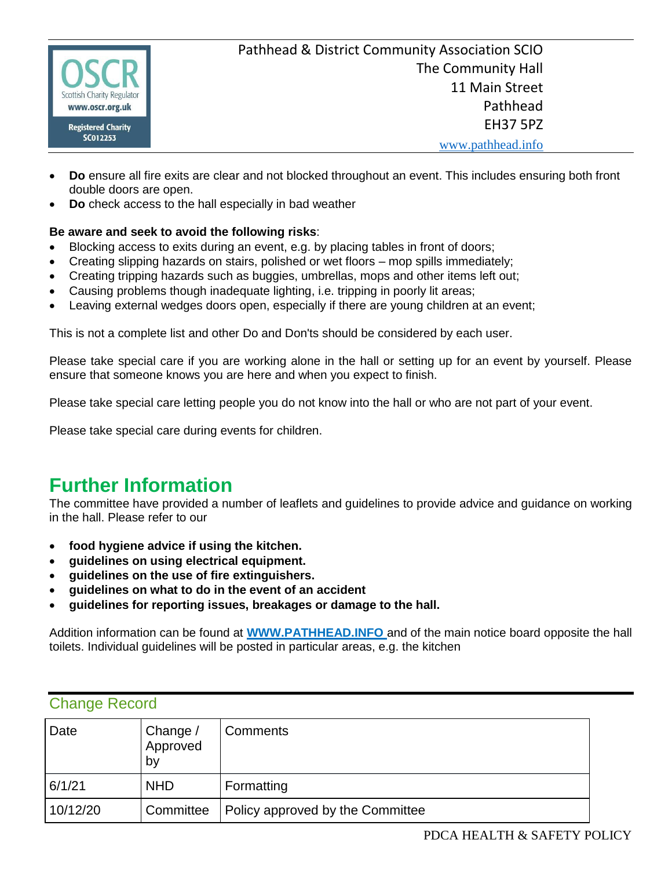

- **Do** ensure all fire exits are clear and not blocked throughout an event. This includes ensuring both front double doors are open.
- **Do** check access to the hall especially in bad weather

#### **Be aware and seek to avoid the following risks**:

- Blocking access to exits during an event, e.g. by placing tables in front of doors;
- Creating slipping hazards on stairs, polished or wet floors mop spills immediately;
- Creating tripping hazards such as buggies, umbrellas, mops and other items left out;
- Causing problems though inadequate lighting, i.e. tripping in poorly lit areas;
- Leaving external wedges doors open, especially if there are young children at an event;

This is not a complete list and other Do and Don'ts should be considered by each user.

Please take special care if you are working alone in the hall or setting up for an event by yourself. Please ensure that someone knows you are here and when you expect to finish.

Please take special care letting people you do not know into the hall or who are not part of your event.

Please take special care during events for children.

### **Further Information**

The committee have provided a number of leaflets and guidelines to provide advice and guidance on working in the hall. Please refer to our

- **food hygiene advice if using the kitchen.**
- **guidelines on using electrical equipment.**
- **guidelines on the use of fire extinguishers.**
- **guidelines on what to do in the event of an accident**
- **guidelines for reporting issues, breakages or damage to the hall.**

Addition information can be found at **WWW.PATHHEAD.INFO** and of the main notice board opposite the hall toilets. Individual guidelines will be posted in particular areas, e.g. the kitchen

#### Change Record

| Date     | Change /<br>Approved<br>by | Comments                         |
|----------|----------------------------|----------------------------------|
| 6/1/21   | <b>NHD</b>                 | Formatting                       |
| 10/12/20 | Committee                  | Policy approved by the Committee |